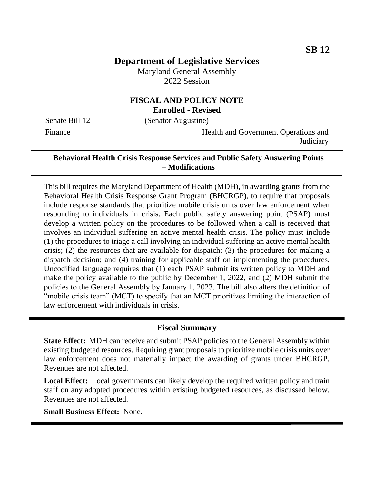# **Department of Legislative Services**

Maryland General Assembly 2022 Session

## **FISCAL AND POLICY NOTE Enrolled - Revised**

Senate Bill 12 (Senator Augustine)

Finance **Health and Government Operations and Judiciary** 

### **Behavioral Health Crisis Response Services and Public Safety Answering Points – Modifications**

This bill requires the Maryland Department of Health (MDH), in awarding grants from the Behavioral Health Crisis Response Grant Program (BHCRGP), to require that proposals include response standards that prioritize mobile crisis units over law enforcement when responding to individuals in crisis. Each public safety answering point (PSAP) must develop a written policy on the procedures to be followed when a call is received that involves an individual suffering an active mental health crisis. The policy must include (1) the procedures to triage a call involving an individual suffering an active mental health crisis; (2) the resources that are available for dispatch; (3) the procedures for making a dispatch decision; and (4) training for applicable staff on implementing the procedures. Uncodified language requires that (1) each PSAP submit its written policy to MDH and make the policy available to the public by December 1, 2022, and (2) MDH submit the policies to the General Assembly by January 1, 2023. The bill also alters the definition of "mobile crisis team" (MCT) to specify that an MCT prioritizes limiting the interaction of law enforcement with individuals in crisis.

#### **Fiscal Summary**

**State Effect:** MDH can receive and submit PSAP policies to the General Assembly within existing budgeted resources. Requiring grant proposals to prioritize mobile crisis units over law enforcement does not materially impact the awarding of grants under BHCRGP. Revenues are not affected.

**Local Effect:** Local governments can likely develop the required written policy and train staff on any adopted procedures within existing budgeted resources, as discussed below. Revenues are not affected.

**Small Business Effect:** None.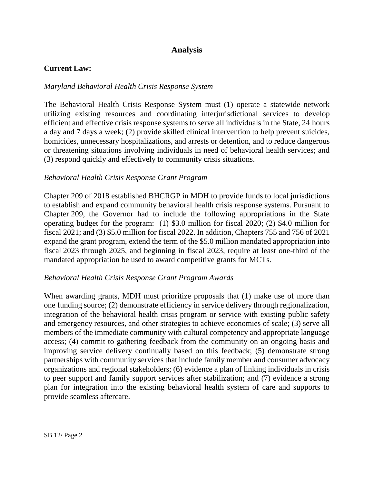# **Analysis**

#### **Current Law:**

#### *Maryland Behavioral Health Crisis Response System*

The Behavioral Health Crisis Response System must (1) operate a statewide network utilizing existing resources and coordinating interjurisdictional services to develop efficient and effective crisis response systems to serve all individuals in the State, 24 hours a day and 7 days a week; (2) provide skilled clinical intervention to help prevent suicides, homicides, unnecessary hospitalizations, and arrests or detention, and to reduce dangerous or threatening situations involving individuals in need of behavioral health services; and (3) respond quickly and effectively to community crisis situations.

#### *Behavioral Health Crisis Response Grant Program*

Chapter 209 of 2018 established BHCRGP in MDH to provide funds to local jurisdictions to establish and expand community behavioral health crisis response systems. Pursuant to Chapter 209, the Governor had to include the following appropriations in the State operating budget for the program: (1) \$3.0 million for fiscal 2020; (2) \$4.0 million for fiscal 2021; and (3) \$5.0 million for fiscal 2022. In addition, Chapters 755 and 756 of 2021 expand the grant program, extend the term of the \$5.0 million mandated appropriation into fiscal 2023 through 2025, and beginning in fiscal 2023, require at least one-third of the mandated appropriation be used to award competitive grants for MCTs.

#### *Behavioral Health Crisis Response Grant Program Awards*

When awarding grants, MDH must prioritize proposals that (1) make use of more than one funding source; (2) demonstrate efficiency in service delivery through regionalization, integration of the behavioral health crisis program or service with existing public safety and emergency resources, and other strategies to achieve economies of scale; (3) serve all members of the immediate community with cultural competency and appropriate language access; (4) commit to gathering feedback from the community on an ongoing basis and improving service delivery continually based on this feedback; (5) demonstrate strong partnerships with community services that include family member and consumer advocacy organizations and regional stakeholders; (6) evidence a plan of linking individuals in crisis to peer support and family support services after stabilization; and (7) evidence a strong plan for integration into the existing behavioral health system of care and supports to provide seamless aftercare.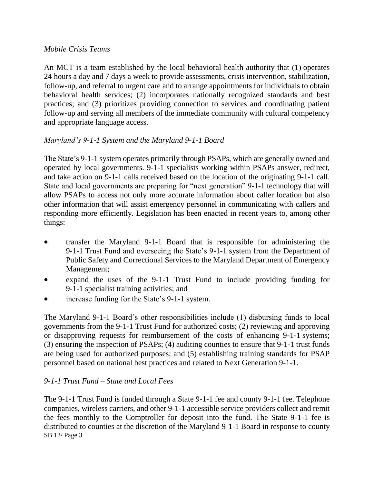### *Mobile Crisis Teams*

An MCT is a team established by the local behavioral health authority that (1) operates 24 hours a day and 7 days a week to provide assessments, crisis intervention, stabilization, follow-up, and referral to urgent care and to arrange appointments for individuals to obtain behavioral health services; (2) incorporates nationally recognized standards and best practices; and (3) prioritizes providing connection to services and coordinating patient follow-up and serving all members of the immediate community with cultural competency and appropriate language access.

## *Maryland's 9-1-1 System and the Maryland 9-1-1 Board*

The State's 9-1-1 system operates primarily through PSAPs, which are generally owned and operated by local governments. 9-1-1 specialists working within PSAPs answer, redirect, and take action on 9-1-1 calls received based on the location of the originating 9-1-1 call. State and local governments are preparing for "next generation" 9-1-1 technology that will allow PSAPs to access not only more accurate information about caller location but also other information that will assist emergency personnel in communicating with callers and responding more efficiently. Legislation has been enacted in recent years to, among other things:

- transfer the Maryland 9-1-1 Board that is responsible for administering the 9-1-1 Trust Fund and overseeing the State's 9-1-1 system from the Department of Public Safety and Correctional Services to the Maryland Department of Emergency Management;
- expand the uses of the 9-1-1 Trust Fund to include providing funding for 9-1-1 specialist training activities; and
- increase funding for the State's 9-1-1 system.

The Maryland 9-1-1 Board's other responsibilities include (1) disbursing funds to local governments from the 9-1-1 Trust Fund for authorized costs; (2) reviewing and approving or disapproving requests for reimbursement of the costs of enhancing 9-1-1 systems; (3) ensuring the inspection of PSAPs; (4) auditing counties to ensure that 9-1-1 trust funds are being used for authorized purposes; and (5) establishing training standards for PSAP personnel based on national best practices and related to Next Generation 9-1-1.

## *9-1-1 Trust Fund – State and Local Fees*

SB 12/ Page 3 The 9-1-1 Trust Fund is funded through a State 9-1-1 fee and county 9-1-1 fee. Telephone companies, wireless carriers, and other 9-1-1 accessible service providers collect and remit the fees monthly to the Comptroller for deposit into the fund. The State 9-1-1 fee is distributed to counties at the discretion of the Maryland 9-1-1 Board in response to county